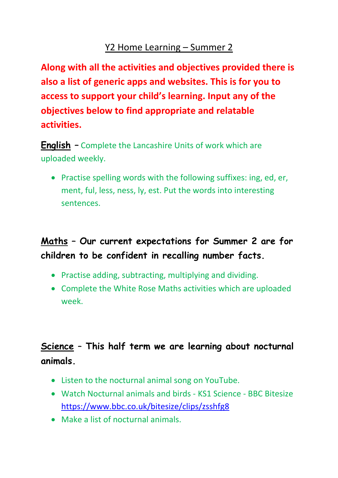#### Y2 Home Learning – Summer 2

**Along with all the activities and objectives provided there is also a list of generic apps and websites. This is for you to access to support your child's learning. Input any of the objectives below to find appropriate and relatable activities.** 

**English –** Complete the Lancashire Units of work which are uploaded weekly.

• Practise spelling words with the following suffixes: ing, ed, er, ment, ful, less, ness, ly, est. Put the words into interesting sentences.

# **Maths – Our current expectations for Summer 2 are for children to be confident in recalling number facts.**

- Practise adding, subtracting, multiplying and dividing.
- Complete the White Rose Maths activities which are uploaded week.

## **Science** – **This half term we are learning about nocturnal animals.**

- Listen to the nocturnal animal song on YouTube.
- Watch Nocturnal animals and birds KS1 Science BBC Bitesize <https://www.bbc.co.uk/bitesize/clips/zsshfg8>
- Make a list of nocturnal animals.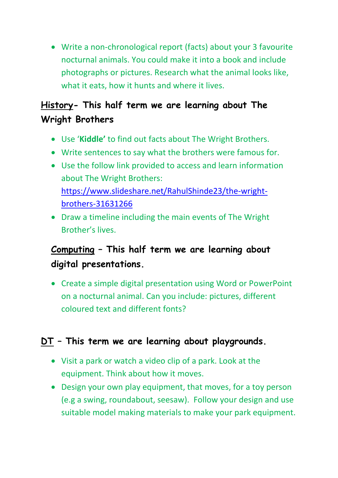• Write a non-chronological report (facts) about your 3 favourite nocturnal animals. You could make it into a book and include photographs or pictures. Research what the animal looks like, what it eats, how it hunts and where it lives.

### **History- This half term we are learning about The Wright Brothers**

- Use '**Kiddle'** to find out facts about The Wright Brothers.
- Write sentences to say what the brothers were famous for.
- Use the follow link provided to access and learn information about The Wright Brothers: [https://www.slideshare.net/RahulShinde23/the-wright](https://www.slideshare.net/RahulShinde23/the-wright-brothers-31631266)[brothers-31631266](https://www.slideshare.net/RahulShinde23/the-wright-brothers-31631266)
- Draw a timeline including the main events of The Wright Brother's lives.

## **Computing – This half term we are learning about digital presentations.**

• Create a simple digital presentation using Word or PowerPoint on a nocturnal animal. Can you include: pictures, different coloured text and different fonts?

#### **DT – This term we are learning about playgrounds.**

- Visit a park or watch a video clip of a park. Look at the equipment. Think about how it moves.
- Design your own play equipment, that moves, for a toy person (e.g a swing, roundabout, seesaw). Follow your design and use suitable model making materials to make your park equipment.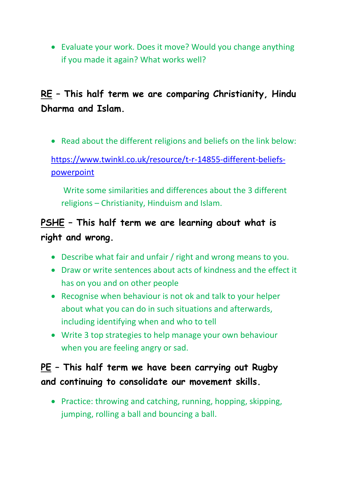• Evaluate your work. Does it move? Would you change anything if you made it again? What works well?

## **RE – This half term we are comparing Christianity, Hindu Dharma and Islam.**

• Read about the different religions and beliefs on the link below:

#### [https://www.twinkl.co.uk/resource/t-r-14855-different-beliefs](https://www.twinkl.co.uk/resource/t-r-14855-different-beliefs-powerpoint)[powerpoint](https://www.twinkl.co.uk/resource/t-r-14855-different-beliefs-powerpoint)

Write some similarities and differences about the 3 different religions – Christianity, Hinduism and Islam.

### **PSHE – This half term we are learning about what is right and wrong.**

- Describe what fair and unfair / right and wrong means to you.
- Draw or write sentences about acts of kindness and the effect it has on you and on other people
- Recognise when behaviour is not ok and talk to your helper about what you can do in such situations and afterwards, including identifying when and who to tell
- Write 3 top strategies to help manage your own behaviour when you are feeling angry or sad.

### **PE – This half term we have been carrying out Rugby and continuing to consolidate our movement skills.**

• Practice: throwing and catching, running, hopping, skipping, jumping, rolling a ball and bouncing a ball.